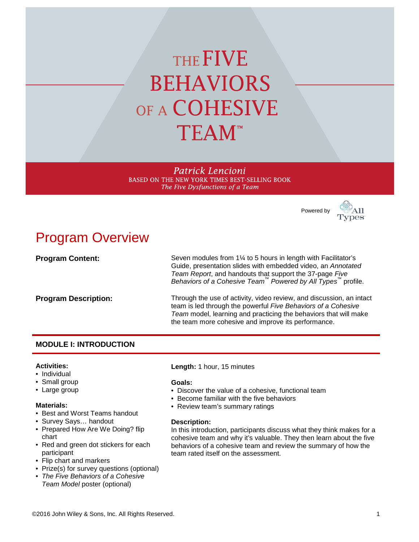# THE FIVE **BEHAVIORS** OF A COHESIVE **TEAM**<sup>\*\*</sup>

Patrick Lencioni BASED ON THE NEW YORK TIMES BEST-SELLING BOOK The Five Dysfunctions of a Team

Powered by



# Program Overview

**Program Content:** Seven modules from 1<sup>1</sup>/<sub>4</sub> to 5 hours in length with Facilitator's Guide, presentation slides with embedded video, an *Annotated Team Report*, and handouts that support the 37-page *Five Behaviors of a Cohesive Team™ Powered by All Types™* profile. **Program Description:** Through the use of activity, video review, and discussion, an intact team is led through the powerful *Five Behaviors of a Cohesive Team* model, learning and practicing the behaviors that will make the team more cohesive and improve its performance.

# **MODULE I: INTRODUCTION**

#### **Activities:**

- Individual
- Small group
- Large group

#### **Materials:**

- Best and Worst Teams handout
- Survey Says… handout
- Prepared How Are We Doing? flip chart
- Red and green dot stickers for each participant
- Flip chart and markers
- Prize(s) for survey questions (optional)
- *The Five Behaviors of a Cohesive Team Model* poster (optional)

**Length:** 1 hour, 15 minutes

#### **Goals:**

- Discover the value of a cohesive, functional team
- Become familiar with the five behaviors
- Review team's summary ratings

#### **Description:**

In this introduction, participants discuss what they think makes for a cohesive team and why it's valuable. They then learn about the five behaviors of a cohesive team and review the summary of how the team rated itself on the assessment.

©2016 John Wiley & Sons, Inc. All Rights Reserved. 1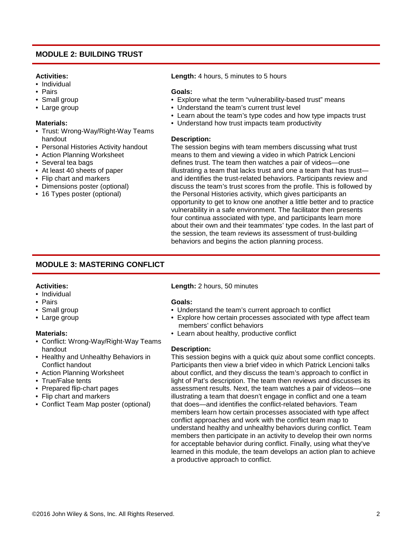## **MODULE 2: BUILDING TRUST**

#### **Activities:**

- Individual
- Pairs
- Small group
- Large group

#### **Materials:**

- Trust: Wrong-Way/Right-Way Teams handout
- Personal Histories Activity handout
- Action Planning Worksheet
- Several tea bags
- At least 40 sheets of paper
- Flip chart and markers
- Dimensions poster (optional)
- 16 Types poster (optional)

**Length:** 4 hours, 5 minutes to 5 hours

#### **Goals:**

- Explore what the term "vulnerability-based trust" means
- Understand the team's current trust level
- Learn about the team's type codes and how type impacts trust
- Understand how trust impacts team productivity

#### **Description:**

The session begins with team members discussing what trust means to them and viewing a video in which Patrick Lencioni defines trust. The team then watches a pair of videos—one illustrating a team that lacks trust and one a team that has trust and identifies the trust-related behaviors. Participants review and discuss the team's trust scores from the profile. This is followed by the Personal Histories activity, which gives participants an opportunity to get to know one another a little better and to practice vulnerability in a safe environment. The facilitator then presents four continua associated with type, and participants learn more about their own and their teammates' type codes. In the last part of the session, the team reviews its assessment of trust-building behaviors and begins the action planning process.

# **MODULE 3: MASTERING CONFLICT**

#### **Activities:**

- Individual
- Pairs
- Small group
- Large group

#### **Materials:**

- Conflict: Wrong-Way/Right-Way Teams handout
- Healthy and Unhealthy Behaviors in Conflict handout
- Action Planning Worksheet
- True/False tents
- Prepared flip-chart pages
- Flip chart and markers
- Conflict Team Map poster (optional)

#### **Length:** 2 hours, 50 minutes

#### **Goals:**

- Understand the team's current approach to conflict
- Explore how certain processes associated with type affect team members' conflict behaviors
- Learn about healthy, productive conflict

#### **Description:**

This session begins with a quick quiz about some conflict concepts. Participants then view a brief video in which Patrick Lencioni talks about conflict, and they discuss the team's approach to conflict in light of Pat's description. The team then reviews and discusses its assessment results. Next, the team watches a pair of videos—one illustrating a team that doesn't engage in conflict and one a team that does—and identifies the conflict-related behaviors. Team members learn how certain processes associated with type affect conflict approaches and work with the conflict team map to understand healthy and unhealthy behaviors during conflict. Team members then participate in an activity to develop their own norms for acceptable behavior during conflict. Finally, using what they've learned in this module, the team develops an action plan to achieve a productive approach to conflict.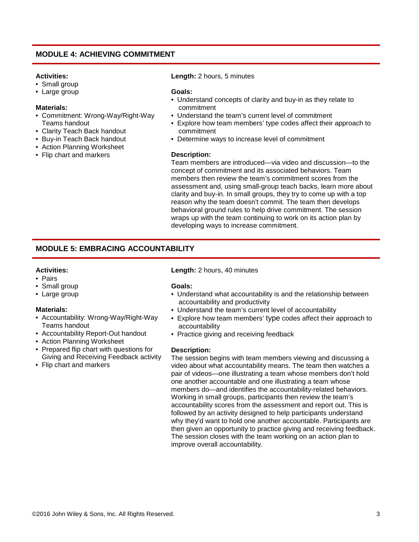# **MODULE 4: ACHIEVING COMMITMENT**

#### **Activities:**

- Small group
- Large group

#### **Materials:**

- Commitment: Wrong-Way/Right-Way Teams handout
- Clarity Teach Back handout
- Buy-in Teach Back handout
- Action Planning Worksheet
- Flip chart and markers

**Length:** 2 hours, 5 minutes

#### **Goals:**

- Understand concepts of clarity and buy-in as they relate to commitment
- Understand the team's current level of commitment
- Explore how team members' type codes affect their approach to commitment
- Determine ways to increase level of commitment

#### **Description:**

Team members are introduced—via video and discussion—to the concept of commitment and its associated behaviors. Team members then review the team's commitment scores from the assessment and, using small-group teach backs, learn more about clarity and buy-in. In small groups, they try to come up with a top reason why the team doesn't commit. The team then develops behavioral ground rules to help drive commitment. The session wraps up with the team continuing to work on its action plan by developing ways to increase commitment.

# **MODULE 5: EMBRACING ACCOUNTABILITY**

#### **Activities:**

- Pairs
- Small group
- Large group

#### **Materials:**

- Accountability: Wrong-Way/Right-Way Teams handout
- Accountability Report-Out handout
- Action Planning Worksheet
- Prepared flip chart with questions for Giving and Receiving Feedback activity
- Flip chart and markers

#### **Length:** 2 hours, 40 minutes

#### **Goals:**

- Understand what accountability is and the relationship between accountability and productivity
- Understand the team's current level of accountability
- Explore how team members' type codes affect their approach to accountability
- Practice giving and receiving feedback

#### **Description:**

The session begins with team members viewing and discussing a video about what accountability means. The team then watches a pair of videos—one illustrating a team whose members don't hold one another accountable and one illustrating a team whose members do—and identifies the accountability-related behaviors. Working in small groups, participants then review the team's accountability scores from the assessment and report out. This is followed by an activity designed to help participants understand why they'd want to hold one another accountable. Participants are then given an opportunity to practice giving and receiving feedback. The session closes with the team working on an action plan to improve overall accountability.